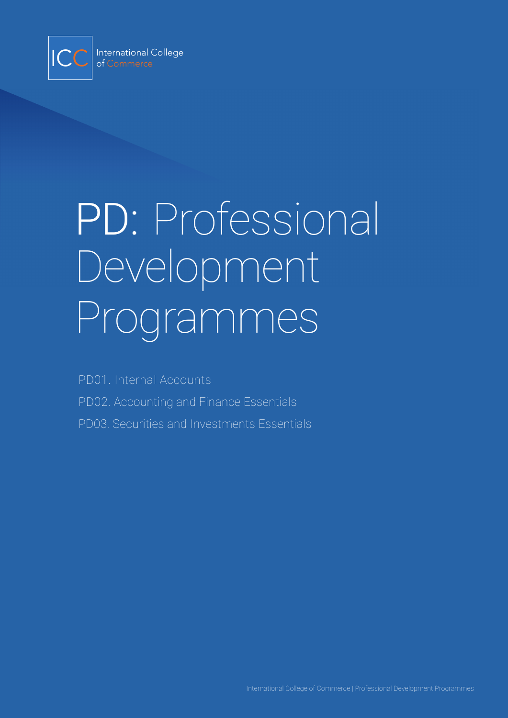

# PD: Professional Development Programmes

PD01. Internal Accounts PD02. Accounting and Finance Essentials PD03. Securities and Investments Essentials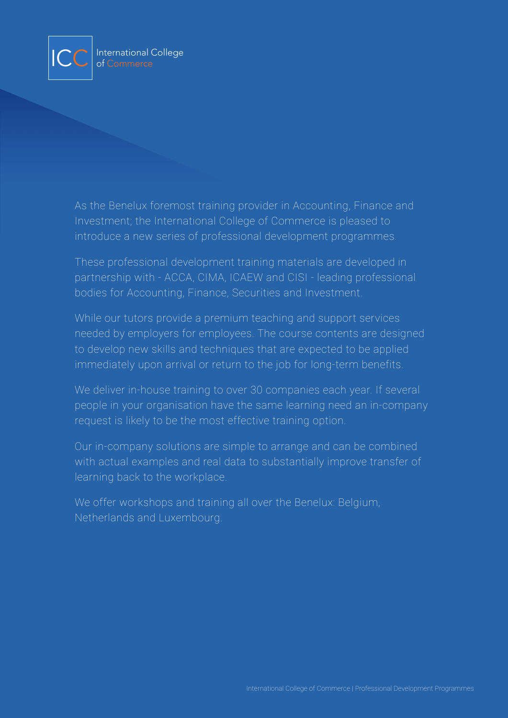

As the Benelux foremost training provider in Accounting, Finance and Investment; the International College of Commerce is pleased to introduce a new series of professional development programmes.

These professional development training materials are developed in partnership with - ACCA, CIMA, ICAEW and CISI - leading professional bodies for Accounting, Finance, Securities and Investment.

While our tutors provide a premium teaching and support services needed by employers for employees. The course contents are designed to develop new skills and techniques that are expected to be applied immediately upon arrival or return to the job for long-term benefits.

We deliver in-house training to over 30 companies each year. If several people in your organisation have the same learning need an in-company request is likely to be the most effective training option.

Our in-company solutions are simple to arrange and can be combined with actual examples and real data to substantially improve transfer of learning back to the workplace.

We offer workshops and training all over the Benelux: Belgium, Netherlands and Luxembourg.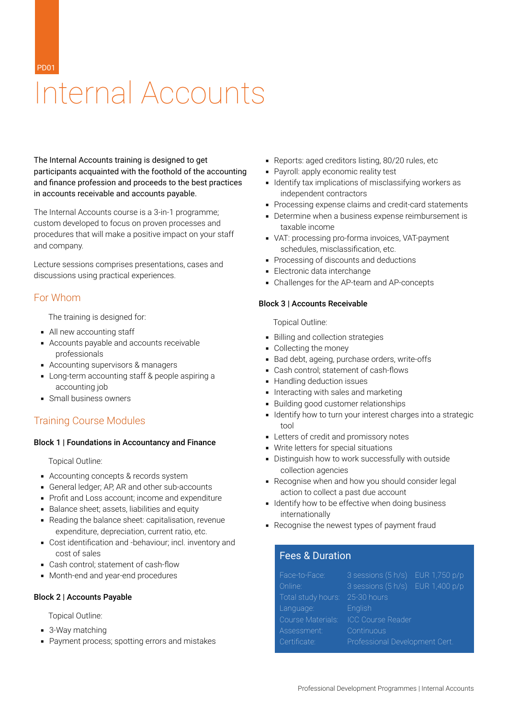PD01

# Internal Accounts

The Internal Accounts training is designed to get participants acquainted with the foothold of the accounting and finance profession and proceeds to the best practices in accounts receivable and accounts payable.

The Internal Accounts course is a 3-in-1 programme; custom developed to focus on proven processes and procedures that will make a positive impact on your staff and company.

Lecture sessions comprises presentations, cases and discussions using practical experiences.

## For Whom

The training is designed for:

- All new accounting staff
- Accounts payable and accounts receivable professionals
- Accounting supervisors & managers
- **EXEC** Long-term accounting staff & people aspiring a accounting job
- Small business owners

# Training Course Modules

### Block 1 | Foundations in Accountancy and Finance

Topical Outline:

- Accounting concepts & records system
- **General ledger; AP, AR and other sub-accounts**
- Profit and Loss account; income and expenditure
- Balance sheet; assets, liabilities and equity
- Reading the balance sheet: capitalisation, revenue expenditure, depreciation, current ratio, etc.
- Cost identification and -behaviour; incl. inventory and cost of sales
- Cash control; statement of cash-flow
- Month-end and year-end procedures

### Block 2 | Accounts Payable

Topical Outline:

- 3-Way matching
- Payment process; spotting errors and mistakes
- Reports: aged creditors listing, 80/20 rules, etc
- Payroll: apply economic reality test
- **EXECT** Identify tax implications of misclassifying workers as independent contractors
- Processing expense claims and credit-card statements
- Determine when a business expense reimbursement is taxable income
- VAT: processing pro-forma invoices, VAT-payment schedules, misclassification, etc.
- **Processing of discounts and deductions**
- **Electronic data interchange**
- Challenges for the AP-team and AP-concepts

### Block 3 | Accounts Receivable

Topical Outline:

- Billing and collection strategies
- Collecting the money
- Bad debt, ageing, purchase orders, write-offs
- Cash control; statement of cash-flows
- Handling deduction issues
- **Interacting with sales and marketing**
- Building good customer relationships
- **.** Identify how to turn your interest charges into a strategic tool
- **EXECUTE:** Letters of credit and promissory notes
- Write letters for special situations
- **•** Distinguish how to work successfully with outside collection agencies
- Recognise when and how you should consider legal action to collect a past due account
- **.** Identify how to be effective when doing business internationally
- Recognise the newest types of payment fraud

# Fees & Duration

| Face-to-Face:      | $3$ sessions $(5 h/s)$ EUR 1,750 p/p |  |  |  |  |  |
|--------------------|--------------------------------------|--|--|--|--|--|
| Online:            | 3 sessions (5 h/s) EUR 1,400 p/p     |  |  |  |  |  |
| Total study hours: | 25-30 hours                          |  |  |  |  |  |
| Language:          | English                              |  |  |  |  |  |
| Course Materials:  | <b>ICC Course Reader</b>             |  |  |  |  |  |
| Assessment:        | Continuous                           |  |  |  |  |  |
| Certificate:       | Professional Development Cert.       |  |  |  |  |  |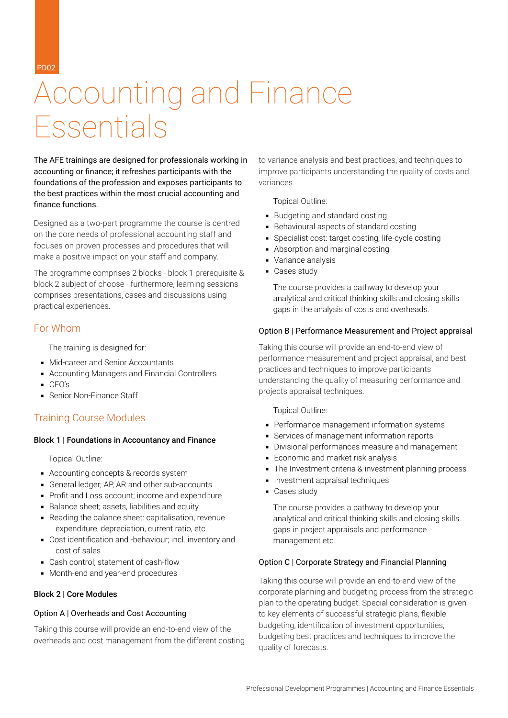PD02

# Accounting and Finance Essentials

The AFE trainings are designed for professionals working in accounting or finance; it refreshes participants with the foundations of the profession and exposes participants to the best practices within the most crucial accounting and finance functions.

Designed as a two-part programme the course is centred on the core needs of professional accounting staff and focuses on proven processes and procedures that will make a positive impact on your staff and company.

The programme comprises 2 blocks - block 1 prerequisite & block 2 subject of choose - furthermore, learning sessions comprises presentations, cases and discussions using practical experiences.

## For Whom

The training is designed for:

- Mid-career and Senior Accountants
- Accounting Managers and Financial Controllers
- CFO's
- Senior Non-Finance Staff

# Training Course Modules

### Block 1 | Foundations in Accountancy and Finance

Topical Outline:

- Accounting concepts & records system
- **General ledger; AP, AR and other sub-accounts**
- Profit and Loss account; income and expenditure
- Balance sheet; assets, liabilities and equity
- Reading the balance sheet: capitalisation, revenue expenditure, depreciation, current ratio, etc.
- Cost identification and -behaviour; incl. inventory and cost of sales
- Cash control; statement of cash-flow
- Month-end and year-end procedures

### Block 2 | Core Modules

### Option A | Overheads and Cost Accounting

Taking this course will provide an end-to-end view of the overheads and cost management from the different costing to variance analysis and best practices, and techniques to improve participants understanding the quality of costs and variances.

Topical Outline:

- Budgeting and standard costing
- Behavioural aspects of standard costing
- **•** Specialist cost: target costing, life-cycle costing
- Absorption and marginal costing
- Variance analysis
- Cases study

The course provides a pathway to develop your analytical and critical thinking skills and closing skills gaps in the analysis of costs and overheads.

### Option B | Performance Measurement and Project appraisal

Taking this course will provide an end-to-end view of performance measurement and project appraisal, and best practices and techniques to improve participants understanding the quality of measuring performance and projects appraisal techniques.

Topical Outline:

- **Performance management information systems**
- Services of management information reports
- Divisional performances measure and management
- **Economic and market risk analysis**
- The Investment criteria & investment planning process
- **·** Investment appraisal techniques
- Cases study

The course provides a pathway to develop your analytical and critical thinking skills and closing skills gaps in project appraisals and performance management etc.

### Option C | Corporate Strategy and Financial Planning

Taking this course will provide an end-to-end view of the corporate planning and budgeting process from the strategic plan to the operating budget. Special consideration is given to key elements of successful strategic plans, flexible budgeting, identification of investment opportunities, budgeting best practices and techniques to improve the quality of forecasts.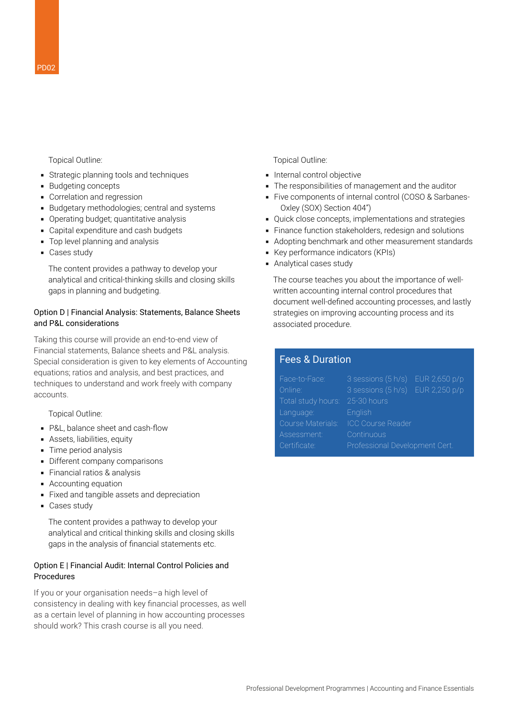### Topical Outline:

- **EXTERNITHERY Strategic planning tools and techniques**
- Budgeting concepts
- **Correlation and regression**
- Budgetary methodologies; central and systems
- Operating budget; quantitative analysis
- Capital expenditure and cash budgets
- **•** Top level planning and analysis
- Cases study

The content provides a pathway to develop your analytical and critical-thinking skills and closing skills gaps in planning and budgeting.

### Option D | Financial Analysis: Statements, Balance Sheets and P&L considerations

Taking this course will provide an end-to-end view of Financial statements, Balance sheets and P&L analysis. Special consideration is given to key elements of Accounting equations; ratios and analysis, and best practices, and techniques to understand and work freely with company accounts.

Topical Outline:

- P&L, balance sheet and cash-flow
- **•** Assets, liabilities, equity
- **Time period analysis**
- **Different company comparisons**
- Financial ratios & analysis
- Accounting equation
- **Example 2** Fixed and tangible assets and depreciation
- Cases study

The content provides a pathway to develop your analytical and critical thinking skills and closing skills gaps in the analysis of financial statements etc.

### Option E | Financial Audit: Internal Control Policies and Procedures

If you or your organisation needs–a high level of consistency in dealing with key financial processes, as well as a certain level of planning in how accounting processes should work? This crash course is all you need.

Topical Outline:

- **·** Internal control objective
- The responsibilities of management and the auditor
- Five components of internal control (COSO & Sarbanes-Oxley (SOX) Section 404")
- Quick close concepts, implementations and strategies
- Finance function stakeholders, redesign and solutions
- Adopting benchmark and other measurement standards
- Key performance indicators (KPIs)
- Analytical cases study

The course teaches you about the importance of wellwritten accounting internal control procedures that document well-defined accounting processes, and lastly strategies on improving accounting process and its associated procedure.

### Fees & Duration

| $3$ sessions $(5 h/s)$ EUR 2,650 p/p |  |
|--------------------------------------|--|
| $3$ sessions $(5 h/s)$ EUR 2,250 p/p |  |
| 25-30 hours                          |  |
| English                              |  |
| <b>ICC Course Reader</b>             |  |
| Continuous                           |  |
| Professional Development Cert.       |  |
|                                      |  |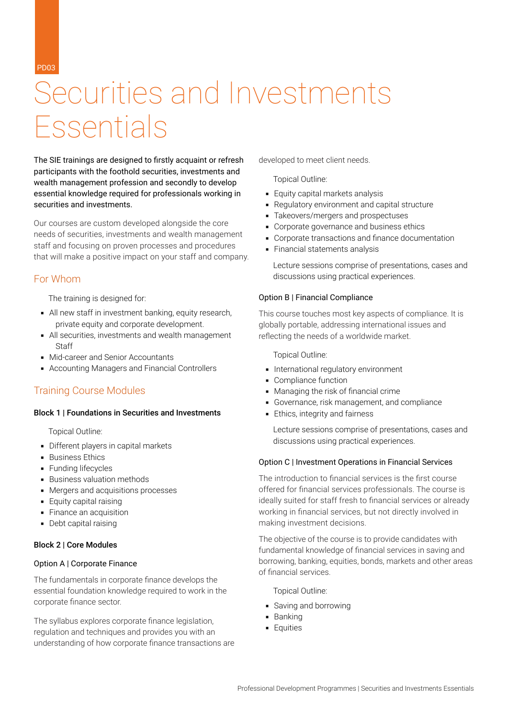PD03

# Securities and Investments Essentials

The SIE trainings are designed to firstly acquaint or refresh participants with the foothold securities, investments and wealth management profession and secondly to develop essential knowledge required for professionals working in securities and investments.

Our courses are custom developed alongside the core needs of securities, investments and wealth management staff and focusing on proven processes and procedures that will make a positive impact on your staff and company.

### For Whom

The training is designed for:

- All new staff in investment banking, equity research, private equity and corporate development.
- All securities, investments and wealth management **Staff**
- Mid-career and Senior Accountants
- Accounting Managers and Financial Controllers

## Training Course Modules

### Block 1 | Foundations in Securities and Investments

Topical Outline:

- **•** Different players in capital markets
- Business Ethics
- **Eunding lifecycles**
- Business valuation methods
- Mergers and acquisitions processes
- **Equity capital raising**
- **Einance an acquisition**
- Debt capital raising

### Block 2 | Core Modules

### Option A | Corporate Finance

The fundamentals in corporate finance develops the essential foundation knowledge required to work in the corporate finance sector.

The syllabus explores corporate finance legislation, regulation and techniques and provides you with an understanding of how corporate finance transactions are developed to meet client needs.

Topical Outline:

- Equity capital markets analysis
- Regulatory environment and capital structure
- Takeovers/mergers and prospectuses
- **Corporate governance and business ethics**
- **Corporate transactions and finance documentation**
- **Financial statements analysis**

Lecture sessions comprise of presentations, cases and discussions using practical experiences.

### Option B | Financial Compliance

This course touches most key aspects of compliance. It is globally portable, addressing international issues and reflecting the needs of a worldwide market.

Topical Outline:

- **·** International regulatory environment
- Compliance function
- Managing the risk of financial crime
- Governance, risk management, and compliance
- **Ethics, integrity and fairness**

Lecture sessions comprise of presentations, cases and discussions using practical experiences.

#### Option C | Investment Operations in Financial Services

The introduction to financial services is the first course offered for financial services professionals. The course is ideally suited for staff fresh to financial services or already working in financial services, but not directly involved in making investment decisions.

The objective of the course is to provide candidates with fundamental knowledge of financial services in saving and borrowing, banking, equities, bonds, markets and other areas of financial services.

Topical Outline:

- Saving and borrowing
- Banking
- **Equities**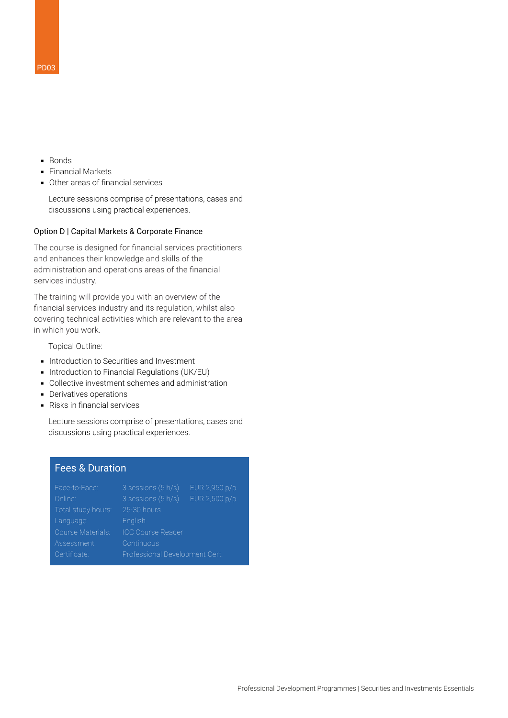- Bonds
- Financial Markets
- Other areas of financial services

Lecture sessions comprise of presentations, cases and discussions using practical experiences.

#### Option D | Capital Markets & Corporate Finance

The course is designed for financial services practitioners and enhances their knowledge and skills of the administration and operations areas of the financial services industry.

The training will provide you with an overview of the financial services industry and its regulation, whilst also covering technical activities which are relevant to the area in which you work.

Topical Outline:

- **.** Introduction to Securities and Investment
- **Introduction to Financial Regulations (UK/EU)**
- **Collective investment schemes and administration**
- **•** Derivatives operations
- Risks in financial services

Lecture sessions comprise of presentations, cases and discussions using practical experiences.

### Fees & Duration

| Face-to-Face:      | 3 sessions (5 h/s)             | EUR 2,950 p/p |
|--------------------|--------------------------------|---------------|
| Online:            | 3 sessions (5 h/s)             | EUR 2,500 p/p |
| Total study hours: | 25-30 hours                    |               |
| Language:          | English                        |               |
| Course Materials:  | <b>ICC Course Reader</b>       |               |
| Assessment:        | Continuous                     |               |
| Certificate:       | Professional Development Cert. |               |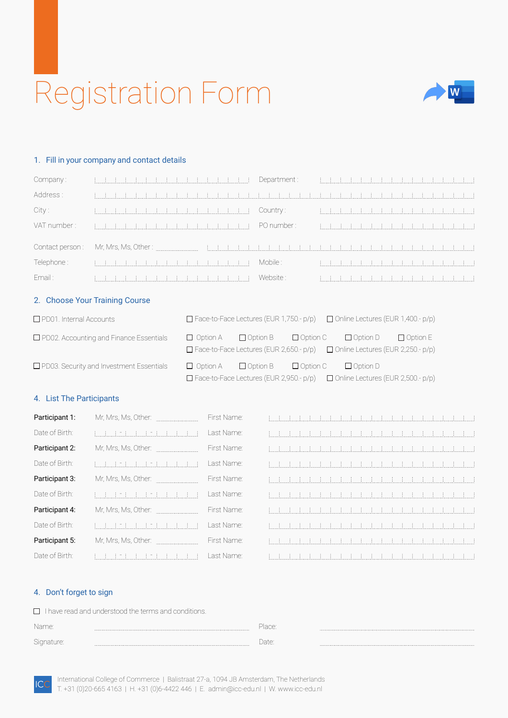# Registration Form



#### 1. Fill in your company and contact details

| Company:     |                                                                                                                                                                                                                                                                                                                                                            | Department: |  |  |  |  |  |  |  |                                                             |
|--------------|------------------------------------------------------------------------------------------------------------------------------------------------------------------------------------------------------------------------------------------------------------------------------------------------------------------------------------------------------------|-------------|--|--|--|--|--|--|--|-------------------------------------------------------------|
| Address:     |                                                                                                                                                                                                                                                                                                                                                            |             |  |  |  |  |  |  |  |                                                             |
| City :       | $[1, \ldots, 1, \ldots, 1, \ldots, 1, \ldots, 1, \ldots, 1, \ldots, 1, \ldots, 1, \ldots, 1, \ldots, 1, \ldots, 1, \ldots, 1, \ldots, 1, \ldots, 1, \ldots, 1, \ldots, 1, \ldots, 1, \ldots, 1, \ldots, 1, \ldots, 1, \ldots, 1, \ldots, 1, \ldots, 1, \ldots, 1, \ldots, 1, \ldots, 1, \ldots, 1, \ldots, 1, \ldots, 1, \ldots, 1, \ldots, 1, \ldots, 1,$ | Country:    |  |  |  |  |  |  |  |                                                             |
| VAT number : |                                                                                                                                                                                                                                                                                                                                                            | PO number : |  |  |  |  |  |  |  |                                                             |
|              |                                                                                                                                                                                                                                                                                                                                                            |             |  |  |  |  |  |  |  |                                                             |
| Telephone :  |                                                                                                                                                                                                                                                                                                                                                            | Mobile :    |  |  |  |  |  |  |  |                                                             |
| Email :      |                                                                                                                                                                                                                                                                                                                                                            | Website :   |  |  |  |  |  |  |  | <u> 1999 - Andrei Schultz, britanista biological este a</u> |

#### 2. Choose Your Training Course

| $\Box$ PD01. Internal Accounts                  |                 | $\Box$ Face-to-Face Lectures (EUR 1,750.- p/p)                    |                                 | $\Box$ Online Lectures (EUR 1,400.- p/p)                    |                 |
|-------------------------------------------------|-----------------|-------------------------------------------------------------------|---------------------------------|-------------------------------------------------------------|-----------------|
| PD02. Accounting and Finance Essentials         | $\Box$ Option A | $\Box$ Option B<br>$\Box$ Face-to-Face Lectures (EUR 2,650.- p/p) | $\Box$ Option C $\Box$ Option D | $\Box$ Online Lectures (EUR 2,250.- p/p)                    | $\Box$ Option E |
| $\Box$ PD03. Security and Investment Essentials | $\Box$ Option A | $\Box$ Option B<br>$\Box$ Face-to-Face Lectures (EUR 2,950.- p/p) | $\Box$ Option C                 | $\Box$ Option D<br>$\Box$ Online Lectures (EUR 2,500.- p/p) |                 |

### 4. List The Participants

| Participant 1: | Mr, Mrs, Ms, Other: | First Name: |       |  |  |  |  |  |                                                                                                                       |  |  |  |  |
|----------------|---------------------|-------------|-------|--|--|--|--|--|-----------------------------------------------------------------------------------------------------------------------|--|--|--|--|
| Date of Birth: |                     | Last Name:  |       |  |  |  |  |  |                                                                                                                       |  |  |  |  |
| Participant 2: | Mr, Mrs, Ms, Other: | First Name: |       |  |  |  |  |  |                                                                                                                       |  |  |  |  |
| Date of Birth: |                     | Last Name:  |       |  |  |  |  |  |                                                                                                                       |  |  |  |  |
| Participant 3: | Mr, Mrs, Ms, Other: | First Name: |       |  |  |  |  |  |                                                                                                                       |  |  |  |  |
| Date of Birth: | ulli 1 milli        | Last Name:  |       |  |  |  |  |  |                                                                                                                       |  |  |  |  |
| Participant 4: | Mr, Mrs, Ms, Other: | First Name: |       |  |  |  |  |  |                                                                                                                       |  |  |  |  |
| Date of Birth: | 生产生产生               | Last Name:  | 4 H H |  |  |  |  |  |                                                                                                                       |  |  |  |  |
| Participant 5: | Mr, Mrs, Ms, Other: | First Name: |       |  |  |  |  |  |                                                                                                                       |  |  |  |  |
| Date of Birth: | i i isi i isi isi T | Last Name:  |       |  |  |  |  |  | <u> Elizabeth de la civilización de la civilización de la civilización de la civilización de la civilización de l</u> |  |  |  |  |

### 4. Don't forget to sign

**ICC** 

I have read and understood the terms and conditions.

| Name       | lace: |  |
|------------|-------|--|
| Sianature. |       |  |